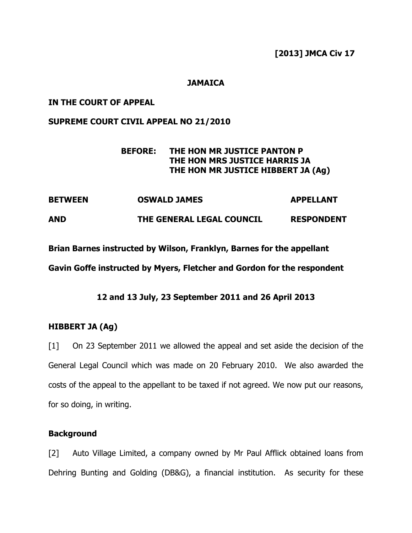[2013] JMCA Civ 17

# **JAMAICA**

### IN THE COURT OF APPEAL

### SUPREME COURT CIVIL APPEAL NO 21/2010

# BEFORE: THE HON MR JUSTICE PANTON P THE HON MRS JUSTICE HARRIS JA THE HON MR JUSTICE HIBBERT JA (Ag)

BETWEEN OSWALD JAMES APPELLANT AND THE GENERAL LEGAL COUNCIL RESPONDENT

Brian Barnes instructed by Wilson, Franklyn, Barnes for the appellant

Gavin Goffe instructed by Myers, Fletcher and Gordon for the respondent

# 12 and 13 July, 23 September 2011 and 26 April 2013

# HIBBERT JA (Ag)

[1] On 23 September 2011 we allowed the appeal and set aside the decision of the General Legal Council which was made on 20 February 2010. We also awarded the costs of the appeal to the appellant to be taxed if not agreed. We now put our reasons, for so doing, in writing.

### **Background**

[2] Auto Village Limited, a company owned by Mr Paul Afflick obtained loans from Dehring Bunting and Golding (DB&G), a financial institution. As security for these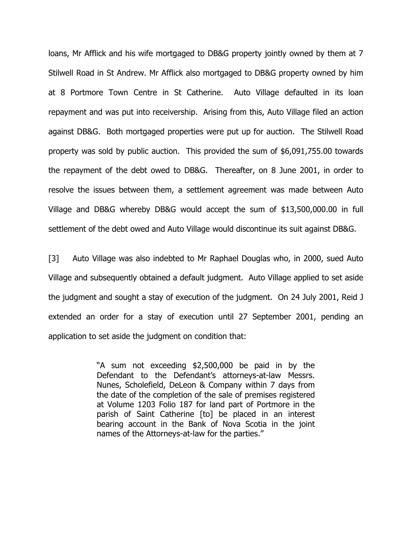loans, Mr Afflick and his wife mortgaged to DB&G property jointly owned by them at 7 Stilwell Road in St Andrew. Mr Afflick also mortgaged to DB&G property owned by him at 8 Portmore Town Centre in St Catherine. Auto Village defaulted in its loan repayment and was put into receivership. Arising from this, Auto Village filed an action against DB&G. Both mortgaged properties were put up for auction. The Stilwell Road property was sold by public auction. This provided the sum of \$6,091,755.00 towards the repayment of the debt owed to DB&G. Thereafter, on 8 June 2001, in order to resolve the issues between them, a settlement agreement was made between Auto Village and DB&G whereby DB&G would accept the sum of \$13,500,000.00 in full settlement of the debt owed and Auto Village would discontinue its suit against DB&G.

[3] Auto Village was also indebted to Mr Raphael Douglas who, in 2000, sued Auto Village and subsequently obtained a default judgment. Auto Village applied to set aside the judgment and sought a stay of execution of the judgment. On 24 July 2001, Reid J extended an order for a stay of execution until 27 September 2001, pending an application to set aside the judgment on condition that:

> "A sum not exceeding \$2,500,000 be paid in by the Defendant to the Defendant's attorneys-at-law Messrs. Nunes, Scholefield, DeLeon & Company within 7 days from the date of the completion of the sale of premises registered at Volume 1203 Folio 187 for land part of Portmore in the parish of Saint Catherine [to] be placed in an interest bearing account in the Bank of Nova Scotia in the joint names of the Attorneys-at-law for the parties."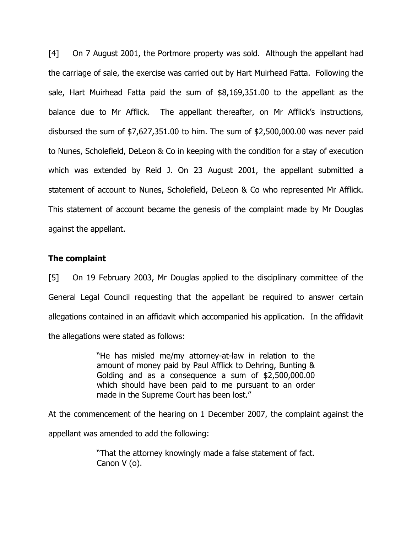[4] On 7 August 2001, the Portmore property was sold. Although the appellant had the carriage of sale, the exercise was carried out by Hart Muirhead Fatta. Following the sale, Hart Muirhead Fatta paid the sum of \$8,169,351.00 to the appellant as the balance due to Mr Afflick. The appellant thereafter, on Mr Afflick's instructions, disbursed the sum of \$7,627,351.00 to him. The sum of \$2,500,000.00 was never paid to Nunes, Scholefield, DeLeon & Co in keeping with the condition for a stay of execution which was extended by Reid J. On 23 August 2001, the appellant submitted a statement of account to Nunes, Scholefield, DeLeon & Co who represented Mr Afflick. This statement of account became the genesis of the complaint made by Mr Douglas against the appellant.

### The complaint

[5] On 19 February 2003, Mr Douglas applied to the disciplinary committee of the General Legal Council requesting that the appellant be required to answer certain allegations contained in an affidavit which accompanied his application. In the affidavit the allegations were stated as follows:

> "He has misled me/my attorney-at-law in relation to the amount of money paid by Paul Afflick to Dehring, Bunting & Golding and as a consequence a sum of \$2,500,000.00 which should have been paid to me pursuant to an order made in the Supreme Court has been lost."

At the commencement of the hearing on 1 December 2007, the complaint against the appellant was amended to add the following:

> "That the attorney knowingly made a false statement of fact. Canon V (o).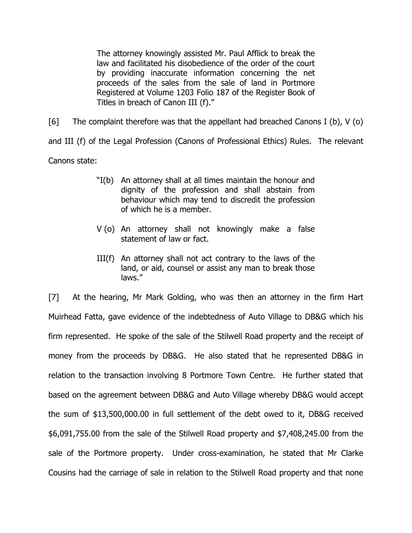The attorney knowingly assisted Mr. Paul Afflick to break the law and facilitated his disobedience of the order of the court by providing inaccurate information concerning the net proceeds of the sales from the sale of land in Portmore Registered at Volume 1203 Folio 187 of the Register Book of Titles in breach of Canon III (f)."

[6] The complaint therefore was that the appellant had breached Canons I (b),  $V$  (o) and III (f) of the Legal Profession (Canons of Professional Ethics) Rules. The relevant Canons state:

- "I(b) An attorney shall at all times maintain the honour and dignity of the profession and shall abstain from behaviour which may tend to discredit the profession of which he is a member.
- V (o) An attorney shall not knowingly make a false statement of law or fact.
- III(f) An attorney shall not act contrary to the laws of the land, or aid, counsel or assist any man to break those laws."

[7] At the hearing, Mr Mark Golding, who was then an attorney in the firm Hart Muirhead Fatta, gave evidence of the indebtedness of Auto Village to DB&G which his firm represented. He spoke of the sale of the Stilwell Road property and the receipt of money from the proceeds by DB&G. He also stated that he represented DB&G in relation to the transaction involving 8 Portmore Town Centre. He further stated that based on the agreement between DB&G and Auto Village whereby DB&G would accept the sum of \$13,500,000.00 in full settlement of the debt owed to it, DB&G received \$6,091,755.00 from the sale of the Stilwell Road property and \$7,408,245.00 from the sale of the Portmore property. Under cross-examination, he stated that Mr Clarke Cousins had the carriage of sale in relation to the Stilwell Road property and that none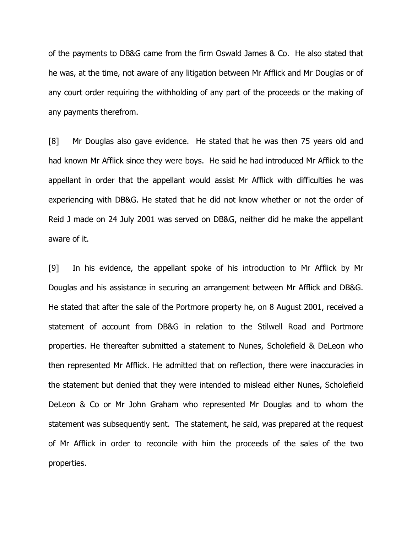of the payments to DB&G came from the firm Oswald James & Co. He also stated that he was, at the time, not aware of any litigation between Mr Afflick and Mr Douglas or of any court order requiring the withholding of any part of the proceeds or the making of any payments therefrom.

[8] Mr Douglas also gave evidence. He stated that he was then 75 years old and had known Mr Afflick since they were boys. He said he had introduced Mr Afflick to the appellant in order that the appellant would assist Mr Afflick with difficulties he was experiencing with DB&G. He stated that he did not know whether or not the order of Reid J made on 24 July 2001 was served on DB&G, neither did he make the appellant aware of it.

[9] In his evidence, the appellant spoke of his introduction to Mr Afflick by Mr Douglas and his assistance in securing an arrangement between Mr Afflick and DB&G. He stated that after the sale of the Portmore property he, on 8 August 2001, received a statement of account from DB&G in relation to the Stilwell Road and Portmore properties. He thereafter submitted a statement to Nunes, Scholefield & DeLeon who then represented Mr Afflick. He admitted that on reflection, there were inaccuracies in the statement but denied that they were intended to mislead either Nunes, Scholefield DeLeon & Co or Mr John Graham who represented Mr Douglas and to whom the statement was subsequently sent. The statement, he said, was prepared at the request of Mr Afflick in order to reconcile with him the proceeds of the sales of the two properties.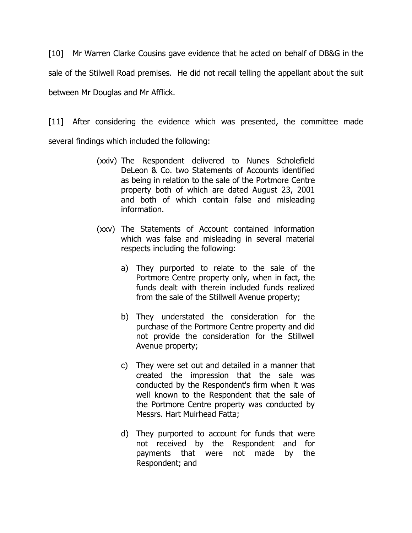[10] Mr Warren Clarke Cousins gave evidence that he acted on behalf of DB&G in the sale of the Stilwell Road premises. He did not recall telling the appellant about the suit between Mr Douglas and Mr Afflick.

[11] After considering the evidence which was presented, the committee made several findings which included the following:

- (xxiv) The Respondent delivered to Nunes Scholefield DeLeon & Co. two Statements of Accounts identified as being in relation to the sale of the Portmore Centre property both of which are dated August 23, 2001 and both of which contain false and misleading information.
- (xxv) The Statements of Account contained information which was false and misleading in several material respects including the following:
	- a) They purported to relate to the sale of the Portmore Centre property only, when in fact, the funds dealt with therein included funds realized from the sale of the Stillwell Avenue property;
	- b) They understated the consideration for the purchase of the Portmore Centre property and did not provide the consideration for the Stillwell Avenue property;
	- c) They were set out and detailed in a manner that created the impression that the sale was conducted by the Respondent's firm when it was well known to the Respondent that the sale of the Portmore Centre property was conducted by Messrs. Hart Muirhead Fatta;
	- d) They purported to account for funds that were not received by the Respondent and for payments that were not made by the Respondent; and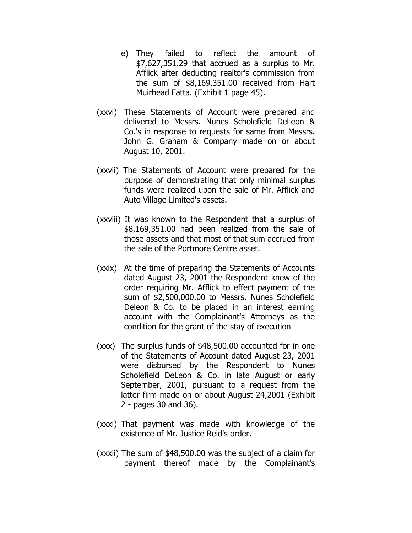- e) They failed to reflect the amount of \$7,627,351.29 that accrued as a surplus to Mr. Afflick after deducting realtor's commission from the sum of \$8,169,351.00 received from Hart Muirhead Fatta. (Exhibit 1 page 45).
- (xxvi) These Statements of Account were prepared and delivered to Messrs. Nunes Scholefield DeLeon & Co.'s in response to requests for same from Messrs. John G. Graham & Company made on or about August 10, 2001.
- (xxvii) The Statements of Account were prepared for the purpose of demonstrating that only minimal surplus funds were realized upon the sale of Mr. Afflick and Auto Village Limited's assets.
- (xxviii) It was known to the Respondent that a surplus of \$8,169,351.00 had been realized from the sale of those assets and that most of that sum accrued from the sale of the Portmore Centre asset.
- (xxix) At the time of preparing the Statements of Accounts dated August 23, 2001 the Respondent knew of the order requiring Mr. Afflick to effect payment of the sum of \$2,500,000.00 to Messrs. Nunes Scholefield Deleon & Co. to be placed in an interest earning account with the Complainant's Attorneys as the condition for the grant of the stay of execution
- (xxx) The surplus funds of \$48,500.00 accounted for in one of the Statements of Account dated August 23, 2001 were disbursed by the Respondent to Nunes Scholefield DeLeon & Co. in late August or early September, 2001, pursuant to a request from the latter firm made on or about August 24,2001 (Exhibit 2 - pages 30 and 36).
- (xxxi) That payment was made with knowledge of the existence of Mr. Justice Reid's order.
- (xxxii) The sum of \$48,500.00 was the subject of a claim for payment thereof made by the Complainant's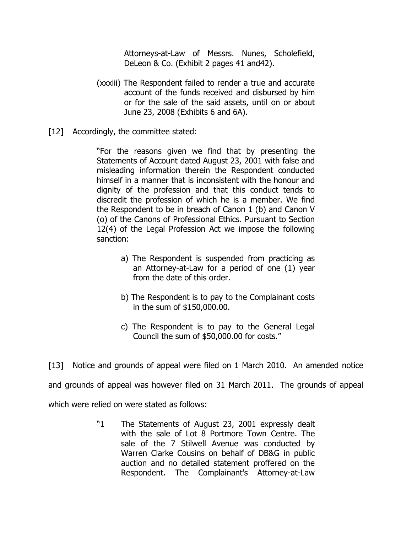Attorneys-at-Law of Messrs. Nunes, Scholefield, DeLeon & Co. (Exhibit 2 pages 41 and42).

- (xxxiii) The Respondent failed to render a true and accurate account of the funds received and disbursed by him or for the sale of the said assets, until on or about June 23, 2008 (Exhibits 6 and 6A).
- [12] Accordingly, the committee stated:

"For the reasons given we find that by presenting the Statements of Account dated August 23, 2001 with false and misleading information therein the Respondent conducted himself in a manner that is inconsistent with the honour and dignity of the profession and that this conduct tends to discredit the profession of which he is a member. We find the Respondent to be in breach of Canon 1 (b) and Canon V (o) of the Canons of Professional Ethics. Pursuant to Section 12(4) of the Legal Profession Act we impose the following sanction:

- a) The Respondent is suspended from practicing as an Attorney-at-Law for a period of one (1) year from the date of this order.
- b) The Respondent is to pay to the Complainant costs in the sum of \$150,000.00.
- c) The Respondent is to pay to the General Legal Council the sum of \$50,000.00 for costs."

[13] Notice and grounds of appeal were filed on 1 March 2010. An amended notice and grounds of appeal was however filed on 31 March 2011. The grounds of appeal which were relied on were stated as follows:

> "1 The Statements of August 23, 2001 expressly dealt with the sale of Lot 8 Portmore Town Centre. The sale of the 7 Stilwell Avenue was conducted by Warren Clarke Cousins on behalf of DB&G in public auction and no detailed statement proffered on the Respondent. The Complainant's Attorney-at-Law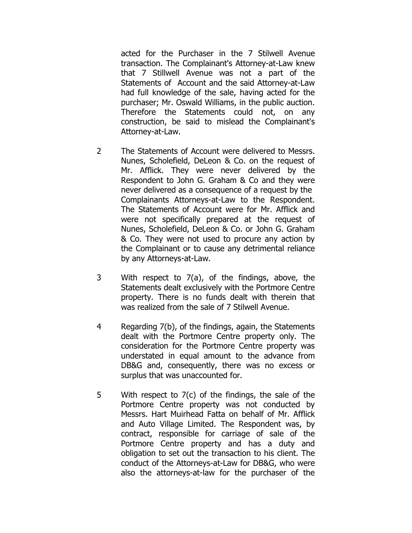acted for the Purchaser in the 7 Stilwell Avenue transaction. The Complainant's Attorney-at-Law knew that 7 Stillwell Avenue was not a part of the Statements of Account and the said Attorney-at-Law had full knowledge of the sale, having acted for the purchaser; Mr. Oswald Williams, in the public auction. Therefore the Statements could not, on any construction, be said to mislead the Complainant's Attorney-at-Law.

- 2 The Statements of Account were delivered to Messrs. Nunes, Scholefield, DeLeon & Co. on the request of Mr. Afflick. They were never delivered by the Respondent to John G. Graham & Co and they were never delivered as a consequence of a request by the Complainants Attorneys-at-Law to the Respondent. The Statements of Account were for Mr. Afflick and were not specifically prepared at the request of Nunes, Scholefield, DeLeon & Co. or John G. Graham & Co. They were not used to procure any action by the Complainant or to cause any detrimental reliance by any Attorneys-at-Law.
- 3 With respect to 7(a), of the findings, above, the Statements dealt exclusively with the Portmore Centre property. There is no funds dealt with therein that was realized from the sale of 7 Stilwell Avenue.
- 4 Regarding 7(b), of the findings, again, the Statements dealt with the Portmore Centre property only. The consideration for the Portmore Centre property was understated in equal amount to the advance from DB&G and, consequently, there was no excess or surplus that was unaccounted for.
- 5 With respect to 7(c) of the findings, the sale of the Portmore Centre property was not conducted by Messrs. Hart Muirhead Fatta on behalf of Mr. Afflick and Auto Village Limited. The Respondent was, by contract, responsible for carriage of sale of the Portmore Centre property and has a duty and obligation to set out the transaction to his client. The conduct of the Attorneys-at-Law for DB&G, who were also the attorneys-at-law for the purchaser of the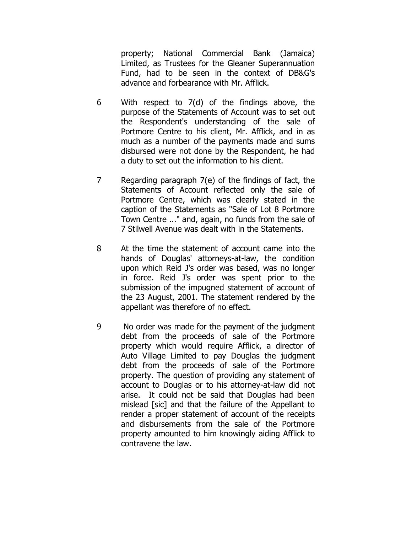property; National Commercial Bank (Jamaica) Limited, as Trustees for the Gleaner Superannuation Fund, had to be seen in the context of DB&G's advance and forbearance with Mr. Afflick.

- 6 With respect to 7(d) of the findings above, the purpose of the Statements of Account was to set out the Respondent's understanding of the sale of Portmore Centre to his client, Mr. Afflick, and in as much as a number of the payments made and sums disbursed were not done by the Respondent, he had a duty to set out the information to his client.
- 7 Regarding paragraph 7(e) of the findings of fact, the Statements of Account reflected only the sale of Portmore Centre, which was clearly stated in the caption of the Statements as "Sale of Lot 8 Portmore Town Centre ..." and, again, no funds from the sale of 7 Stilwell Avenue was dealt with in the Statements.
- 8 At the time the statement of account came into the hands of Douglas' attorneys-at-law, the condition upon which Reid J's order was based, was no longer in force. Reid J's order was spent prior to the submission of the impugned statement of account of the 23 August, 2001. The statement rendered by the appellant was therefore of no effect.
- 9 No order was made for the payment of the judgment debt from the proceeds of sale of the Portmore property which would require Afflick, a director of Auto Village Limited to pay Douglas the judgment debt from the proceeds of sale of the Portmore property. The question of providing any statement of account to Douglas or to his attorney-at-law did not arise. It could not be said that Douglas had been mislead [sic] and that the failure of the Appellant to render a proper statement of account of the receipts and disbursements from the sale of the Portmore property amounted to him knowingly aiding Afflick to contravene the law.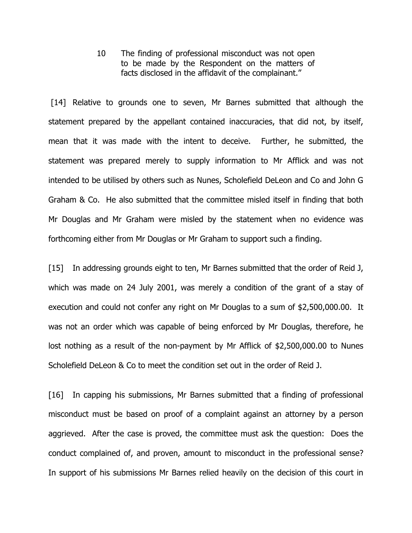10 The finding of professional misconduct was not open to be made by the Respondent on the matters of facts disclosed in the affidavit of the complainant."

[14] Relative to grounds one to seven, Mr Barnes submitted that although the statement prepared by the appellant contained inaccuracies, that did not, by itself, mean that it was made with the intent to deceive. Further, he submitted, the statement was prepared merely to supply information to Mr Afflick and was not intended to be utilised by others such as Nunes, Scholefield DeLeon and Co and John G Graham & Co. He also submitted that the committee misled itself in finding that both Mr Douglas and Mr Graham were misled by the statement when no evidence was forthcoming either from Mr Douglas or Mr Graham to support such a finding.

[15] In addressing grounds eight to ten, Mr Barnes submitted that the order of Reid J, which was made on 24 July 2001, was merely a condition of the grant of a stay of execution and could not confer any right on Mr Douglas to a sum of \$2,500,000.00. It was not an order which was capable of being enforced by Mr Douglas, therefore, he lost nothing as a result of the non-payment by Mr Afflick of \$2,500,000.00 to Nunes Scholefield DeLeon & Co to meet the condition set out in the order of Reid J.

[16] In capping his submissions, Mr Barnes submitted that a finding of professional misconduct must be based on proof of a complaint against an attorney by a person aggrieved. After the case is proved, the committee must ask the question: Does the conduct complained of, and proven, amount to misconduct in the professional sense? In support of his submissions Mr Barnes relied heavily on the decision of this court in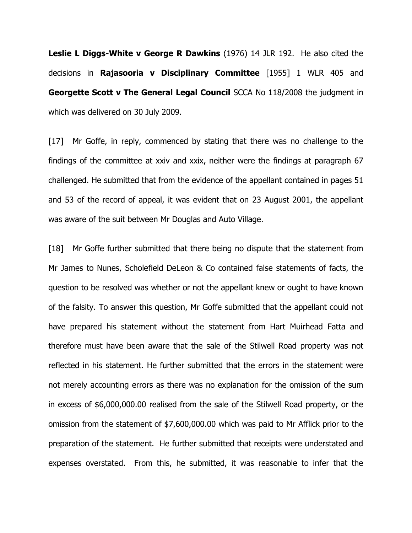**Leslie L Diggs-White v George R Dawkins** (1976) 14 JLR 192. He also cited the decisions in Rajasooria v Disciplinary Committee [1955] 1 WLR 405 and Georgette Scott v The General Legal Council SCCA No 118/2008 the judgment in which was delivered on 30 July 2009.

[17] Mr Goffe, in reply, commenced by stating that there was no challenge to the findings of the committee at xxiv and xxix, neither were the findings at paragraph 67 challenged. He submitted that from the evidence of the appellant contained in pages 51 and 53 of the record of appeal, it was evident that on 23 August 2001, the appellant was aware of the suit between Mr Douglas and Auto Village.

[18] Mr Goffe further submitted that there being no dispute that the statement from Mr James to Nunes, Scholefield DeLeon & Co contained false statements of facts, the question to be resolved was whether or not the appellant knew or ought to have known of the falsity. To answer this question, Mr Goffe submitted that the appellant could not have prepared his statement without the statement from Hart Muirhead Fatta and therefore must have been aware that the sale of the Stilwell Road property was not reflected in his statement. He further submitted that the errors in the statement were not merely accounting errors as there was no explanation for the omission of the sum in excess of \$6,000,000.00 realised from the sale of the Stilwell Road property, or the omission from the statement of \$7,600,000.00 which was paid to Mr Afflick prior to the preparation of the statement. He further submitted that receipts were understated and expenses overstated. From this, he submitted, it was reasonable to infer that the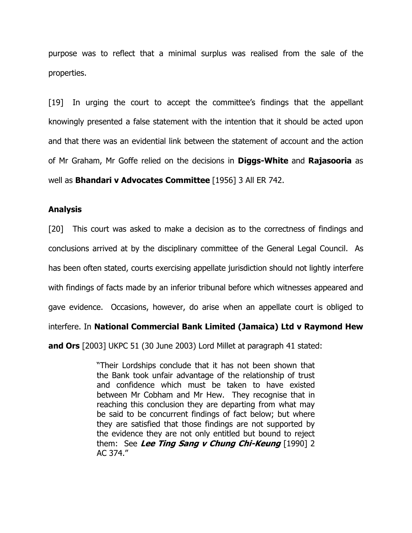purpose was to reflect that a minimal surplus was realised from the sale of the properties.

[19] In urging the court to accept the committee's findings that the appellant knowingly presented a false statement with the intention that it should be acted upon and that there was an evidential link between the statement of account and the action of Mr Graham, Mr Goffe relied on the decisions in **Diggs-White** and **Rajasooria** as well as **Bhandari v Advocates Committee** [1956] 3 All ER 742.

### Analysis

[20] This court was asked to make a decision as to the correctness of findings and conclusions arrived at by the disciplinary committee of the General Legal Council. As has been often stated, courts exercising appellate jurisdiction should not lightly interfere with findings of facts made by an inferior tribunal before which witnesses appeared and gave evidence. Occasions, however, do arise when an appellate court is obliged to interfere. In National Commercial Bank Limited (Jamaica) Ltd v Raymond Hew and Ors [2003] UKPC 51 (30 June 2003) Lord Millet at paragraph 41 stated:

> "Their Lordships conclude that it has not been shown that the Bank took unfair advantage of the relationship of trust and confidence which must be taken to have existed between Mr Cobham and Mr Hew. They recognise that in reaching this conclusion they are departing from what may be said to be concurrent findings of fact below; but where they are satisfied that those findings are not supported by the evidence they are not only entitled but bound to reject them: See Lee Ting Sang v Chung Chi-Keung  $[1990]$  2 AC 374."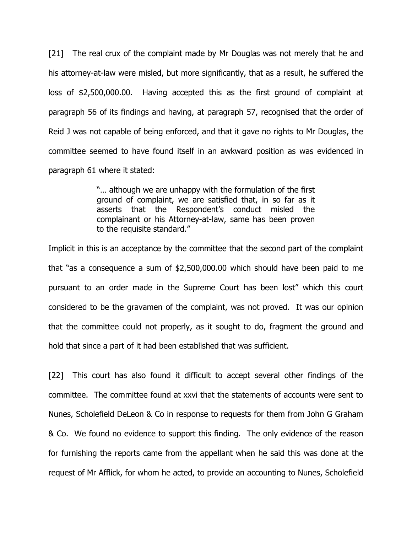[21] The real crux of the complaint made by Mr Douglas was not merely that he and his attorney-at-law were misled, but more significantly, that as a result, he suffered the loss of \$2,500,000.00. Having accepted this as the first ground of complaint at paragraph 56 of its findings and having, at paragraph 57, recognised that the order of Reid J was not capable of being enforced, and that it gave no rights to Mr Douglas, the committee seemed to have found itself in an awkward position as was evidenced in paragraph 61 where it stated:

> "… although we are unhappy with the formulation of the first ground of complaint, we are satisfied that, in so far as it asserts that the Respondent's conduct misled the complainant or his Attorney-at-law, same has been proven to the requisite standard."

Implicit in this is an acceptance by the committee that the second part of the complaint that "as a consequence a sum of \$2,500,000.00 which should have been paid to me pursuant to an order made in the Supreme Court has been lost" which this court considered to be the gravamen of the complaint, was not proved. It was our opinion that the committee could not properly, as it sought to do, fragment the ground and hold that since a part of it had been established that was sufficient.

[22] This court has also found it difficult to accept several other findings of the committee. The committee found at xxvi that the statements of accounts were sent to Nunes, Scholefield DeLeon & Co in response to requests for them from John G Graham & Co. We found no evidence to support this finding. The only evidence of the reason for furnishing the reports came from the appellant when he said this was done at the request of Mr Afflick, for whom he acted, to provide an accounting to Nunes, Scholefield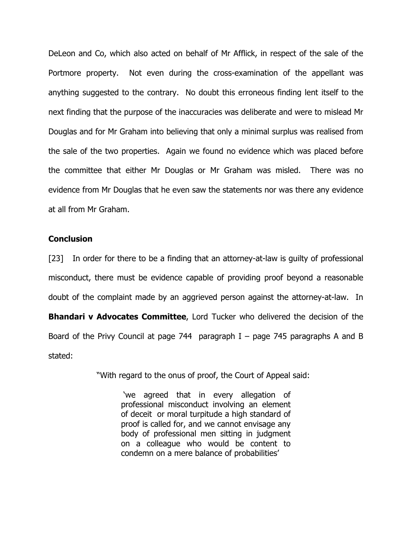DeLeon and Co, which also acted on behalf of Mr Afflick, in respect of the sale of the Portmore property. Not even during the cross-examination of the appellant was anything suggested to the contrary. No doubt this erroneous finding lent itself to the next finding that the purpose of the inaccuracies was deliberate and were to mislead Mr Douglas and for Mr Graham into believing that only a minimal surplus was realised from the sale of the two properties. Again we found no evidence which was placed before the committee that either Mr Douglas or Mr Graham was misled. There was no evidence from Mr Douglas that he even saw the statements nor was there any evidence at all from Mr Graham.

### **Conclusion**

[23] In order for there to be a finding that an attorney-at-law is guilty of professional misconduct, there must be evidence capable of providing proof beyond a reasonable doubt of the complaint made by an aggrieved person against the attorney-at-law. In **Bhandari v Advocates Committee**, Lord Tucker who delivered the decision of the Board of the Privy Council at page 744 paragraph  $I -$  page 745 paragraphs A and B stated:

"With regard to the onus of proof, the Court of Appeal said:

 'we agreed that in every allegation of professional misconduct involving an element of deceit or moral turpitude a high standard of proof is called for, and we cannot envisage any body of professional men sitting in judgment on a colleague who would be content to condemn on a mere balance of probabilities'